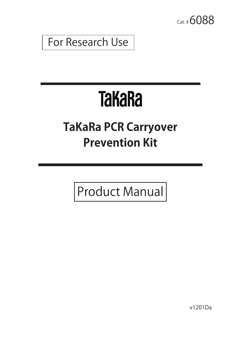Cat. # **6088** 

For Research Use

# **TaKaRa**

## **TaKaRa PCR Carryover Prevention Kit**

Product Manual

v1201Da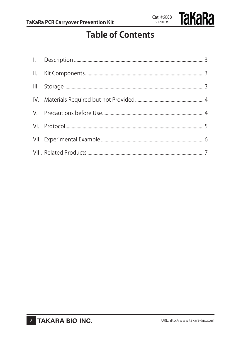

### **Table of Contents**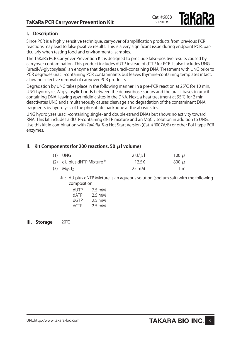**Takara** 

#### **I. Description**

Since PCR is a highly sensitive technique, carryover of amplification products from previous PCR reactions may lead to false positive results. This is a very significant issue during endpoint PCR, particularly when testing food and environmental samples.

The TaKaRa PCR Carryover Prevention Kit is designed to preclude false-positive results caused by carryover contamination. This product includes dUTP instead of dTTP for PCR. It also includes UNG (uracil-N-glycosylase), an enzyme that degrades uracil-containing DNA. Treatment with UNG prior to PCR degrades uracil-containing PCR contaminants but leaves thymine-containing templates intact, allowing selective removal of carryover PCR products.

Degradation by UNG takes place in the following manner. In a pre-PCR reaction at 25℃ for 10 min, UNG hydrolyzes N-glycosylic bonds between the deoxyribose sugars and the uracil bases in uracilcontaining DNA, leaving apyrimidinic sites in the DNA. Next, a heat treatment at 95℃ for 2 min deactivates UNG and simultaneously causes cleavage and degradation of the contaminant DNA fragments by hydrolysis of the phosphate backbone at the abasic sites.

UNG hydrolyzes uracil-containing single- and double-strand DNAs but shows no activity toward RNA. This kit includes a dUTP-containing dNTP mixture and an MgCl<sub>2</sub> solution in addition to UNG. Use this kit in combination with TaKaRa Taq Hot Start Version (Cat. #R007A/B) or other Pol I-type PCR enzymes.

#### **II. Kit Components (for 200 reactions, 50 μl volume)**

| $(1)$ UNG                    | 2 U/uI | 100 $\mu$      |
|------------------------------|--------|----------------|
| (2) dU plus dNTP Mixture $*$ | 12.5X  | $800 \mu l$    |
| $(3)$ MgCl <sub>2</sub>      | 25 mM  | $1 \text{ ml}$ |

 $*$  : dU plus dNTP Mixture is an aqueous solution (sodium salt) with the following composition:

| <b>AUTP</b> | $7.5 \text{ mM}$ |
|-------------|------------------|
| dATP        | 2.5 mM           |
| dGTP        | 2.5 mM           |
| $d$ CTP     | $2.5 \text{ mM}$ |

**III. Storage** -20℃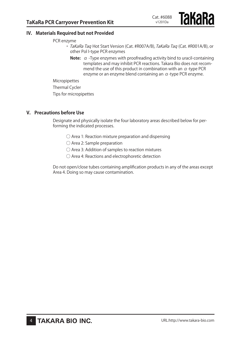#### **IV. Materials Required but not Provided**

PCR enzyme

- TaKaRa Tag Hot Start Version (Cat. #R007A/B), TaKaRa Tag (Cat. #R001A/B), or other Pol I-type PCR enzymes
	- **Note:** α -Type enzymes with proofreading activity bind to uracil-containing templates and may inhibit PCR reactions. Takara Bio does not recommend the use of this product in combination with an  $\alpha$ -type PCR enzyme or an enzyme blend containing an  $\alpha$ -type PCR enzyme.

Micropipettes

Thermal Cycler

Tips for micropipettes

#### **V. Precautions before Use**

Designate and physically isolate the four laboratory areas described below for performing the indicated processes.

- $\bigcirc$  Area 1: Reaction mixture preparation and dispensing
- Area 2: Sample preparation
- Area 3: Addition of samples to reaction mixtures
- Area 4: Reactions and electrophoretic detection

Do not open/close tubes containing amplification products in any of the areas except Area 4. Doing so may cause contamination.

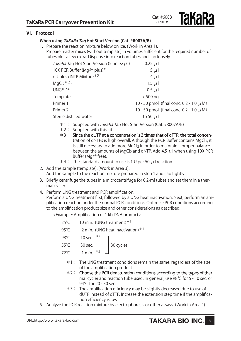#### **VI. Protocol**

#### **When using TaKaRa Taq Hot Start Version (Cat. #R007A/B)**

1. Prepare the reaction mixture below on ice. (Work in Area 1). Prepare master mixes (without template) in volumes sufficient for the required number of tubes plus a few extra. Dispense into reaction tubes and cap loosely.

| TaKaRa Taq Hot Start Version (5 units/ $\mu$ I)      | $0.25 \mu$    |                                              |
|------------------------------------------------------|---------------|----------------------------------------------|
| 10X PCR Buffer (Mg <sup>2+</sup> plus) <sup>*1</sup> | $5 \mu l$     |                                              |
| dU plus dNTP Mixture $*2$                            | $4 \mu$       |                                              |
| $MqCl2 * 2,3$                                        | $1.5 \mu$     |                                              |
| $UNG*2,4$                                            | $0.5 \mu$     |                                              |
| Template                                             | $<$ 500 ng    |                                              |
| Primer 1                                             |               | 10 - 50 pmol (final conc. 0.2 - 1.0 $\mu$ M) |
| Primer 2                                             |               | 10 - 50 pmol (final conc. 0.2 - 1.0 $\mu$ M) |
| Sterile distilled water                              | to 50 $\mu$ l |                                              |

- \*1 : Supplied with TaKaRa Taq Hot Start Version (Cat. #R007A/B)
- $*2$ : Supplied with this kit
- $*3$  : Since the dUTP at a concentration is 3 times that of dTTP, the total concentration of dNTPs is high overall. Although the PCR Buffer contains MgCl<sub>2</sub>, it is still necessary to add more MgCl<sub>2</sub> in order to maintain a proper balance between the amounts of MgCl<sub>2</sub> and dNTP. Add 4.5  $\mu$ I when using 10X PCR Buffer ( $Mq^{2+}$  free).
- $*4$  : The standard amount to use is 1 U per 50  $\mu$  I reaction.
- 2. Add the sample (template). (Work in Area 3). Add the sample to the reaction mixture prepared in step 1 and cap tightly.
- 3. Briefly centrifuge the tubes in a microcentrifuge for 0.2-ml tubes and set them in a thermal cycler.
- 4. Perform UNG treatment and PCR amplification.

Perform a UNG treatment first, followed by a UNG heat inactivation. Next, perform an amplification reaction under the normal PCR conditions. Optimize PCR conditions according to the amplification product size and other considerations as described.

<Example: Amplification of 1 kb DNA product>

| $25^{\circ}$ C |                                     | 10 min. (UNG treatment) $*1$ |  |
|----------------|-------------------------------------|------------------------------|--|
| 95°C           | 2 min. (UNG heat inactivation) $*1$ |                              |  |
| 98 $°C$        | 10 sec. $*2$                        |                              |  |
| $55^{\circ}$ C | 30 sec.                             | 30 cycles                    |  |
| $72^{\circ}$ C | 1 min. $*3$                         |                              |  |

- \*1 : The UNG treatment conditions remain the same, regardless of the size of the amplification product.
- $*2$  : Choose the PCR denaturation conditions according to the types of thermal cycler and reaction tube used. In general, use 98℃ for 5 - 10 sec. or 94℃ for 20 - 30 sec.
- \*3 : The amplification efficiency may be slightly decreased due to use of dUTP instead of dTTP. Increase the extension step time if the amplification efficiency is low.
- 5. Analyze the PCR reaction mixture by electrophoresis or other assays. (Work in Area 4)

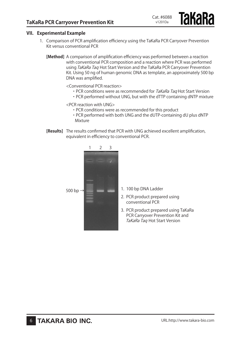#### **VII. Experimental Example**

- 1. Comparison of PCR amplification efficiency using the TaKaRa PCR Carryover Prevention Kit versus conventional PCR
	- **[Method]** A comparison of amplification efficiency was performed between a reaction with conventional PCR composition and a reaction where PCR was performed using TaKaRa Taq Hot Start Version and the TaKaRa PCR Carryover Prevention Kit. Using 50 ng of human genomic DNA as template, an approximately 500 bp DNA was amplified.

<Conventional PCR reaction>

• PCR conditions were as recommended for TaKaRa Taq Hot Start Version

Cat. #6088 v1201Da

・PCR performed without UNG, but with the dTTP containing dNTP mixture

<PCR reaction with UNG>

- ・PCR conditions were as recommended for this product
- ・PCR performed with both UNG and the dUTP-containing dU plus dNTP Mixture
- **[Results]** The results confirmed that PCR with UNG achieved excellent amplification, equivalent in efficiency to conventional PCR.



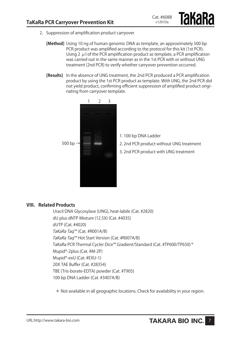- 2. Suppression of amplification product carryover
	- **[Method]** Using 10 ng of human genomic DNA as template, an approximately 500 bp PCR product was amplified according to the protocol for this kit (1st PCR). Using 2  $\mu$  l of the PCR amplification product as template, a PCR amplification was carried out in the same manner as in the 1st PCR with or without UNG treatment (2nd PCR) to verify whether carryover prevention occurred.
	- **[Results]** In the absence of UNG treatment, the 2nd PCR produced a PCR amplification product by using the 1st PCR product as template. With UNG, the 2nd PCR did not yield product, confirming efficient suppression of amplified product originating from carryover template.



- 1. 100 bp DNA Ladder
- 2. 2nd PCR product without UNG treatment

Cat. #6088 v1201Da

**Takara** 

3. 2nd PCR product with UNG treatment

#### **VIII. Related Products**

Uracil DNA Glycosylase (UNG), heat-labile (Cat. #2820) dU plus dNTP Mixture (12.5X) (Cat. #4035) dUTP (Cat. #4020) TaKaRa Taq™ (Cat. #R001A/B) TaKaRa Taq™ Hot Start Version (Cat. #R007A/B) TaKaRa PCR Thermal Cycler Dice™ Gradient/Standard (Cat. #TP600/TP650)\* Mupid®-2plus (Cat. #M-2P) Mupid®-exU (Cat. #EXU-1) 20X TAE Buffer (Cat. #28354) TBE (Tris-borate-EDTA) powder (Cat. #T905) 100 bp DNA Ladder (Cat. #3407A/B)

\* Not available in all geographic locations. Check for availability in your region.